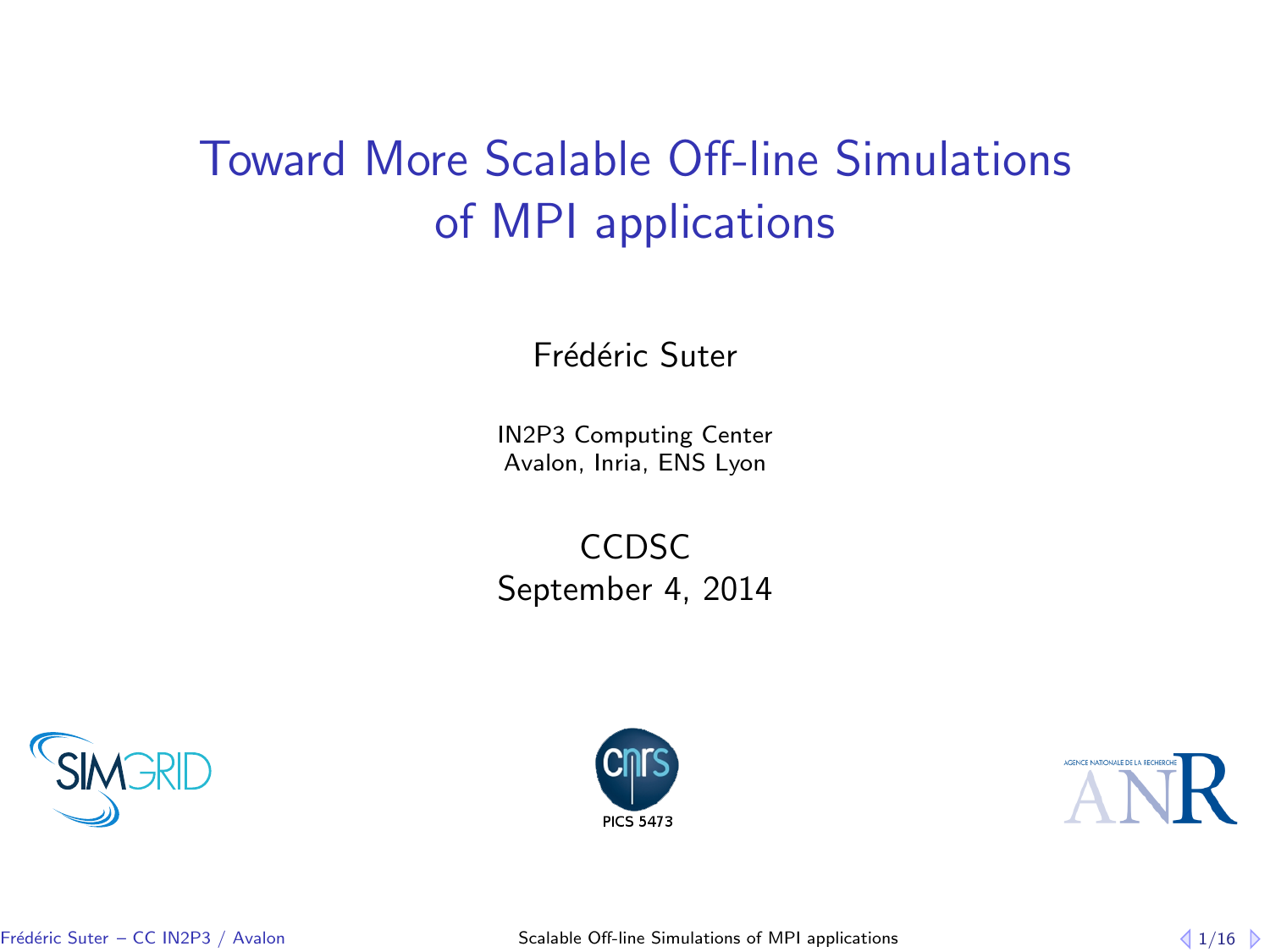# <span id="page-0-1"></span>Toward More Scalable Off-line Simulations of MPI applications

Frédéric Suter

IN2P3 Computing Center Avalon, Inria, ENS Lyon

CCDSC September 4, 2014





<span id="page-0-0"></span>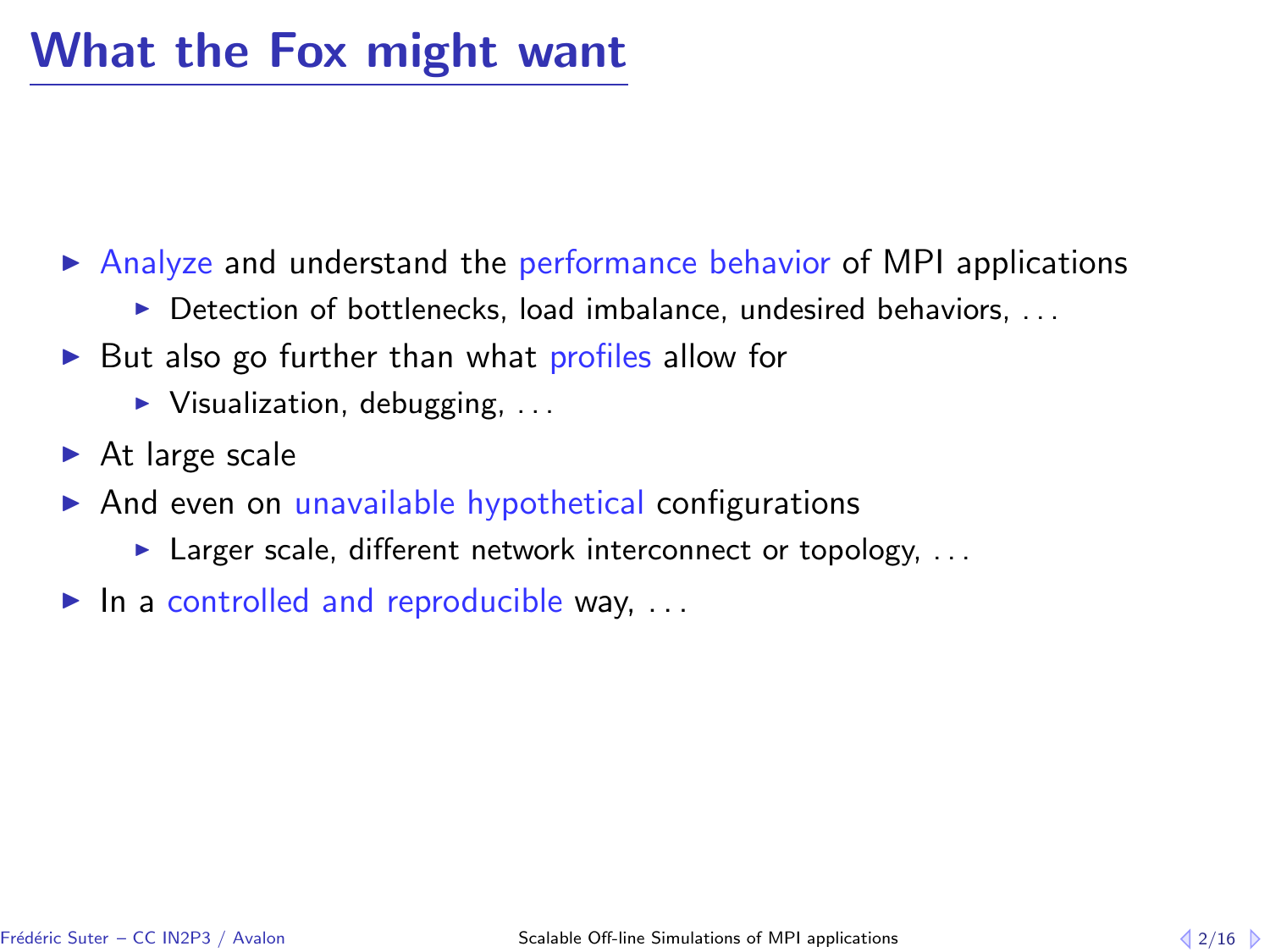- $\triangleright$  Analyze and understand the performance behavior of MPI applications
	- $\triangleright$  Detection of bottlenecks, load imbalance, undesired behaviors, ...
- $\triangleright$  But also go further than what profiles allow for
	- $\blacktriangleright$  Visualization, debugging, ...
- $\triangleright$  At large scale
- $\triangleright$  And even on unavailable hypothetical configurations
	- $\blacktriangleright$  Larger scale, different network interconnect or topology, ...
- <span id="page-1-0"></span> $\blacktriangleright$  In a controlled and reproducible way, ...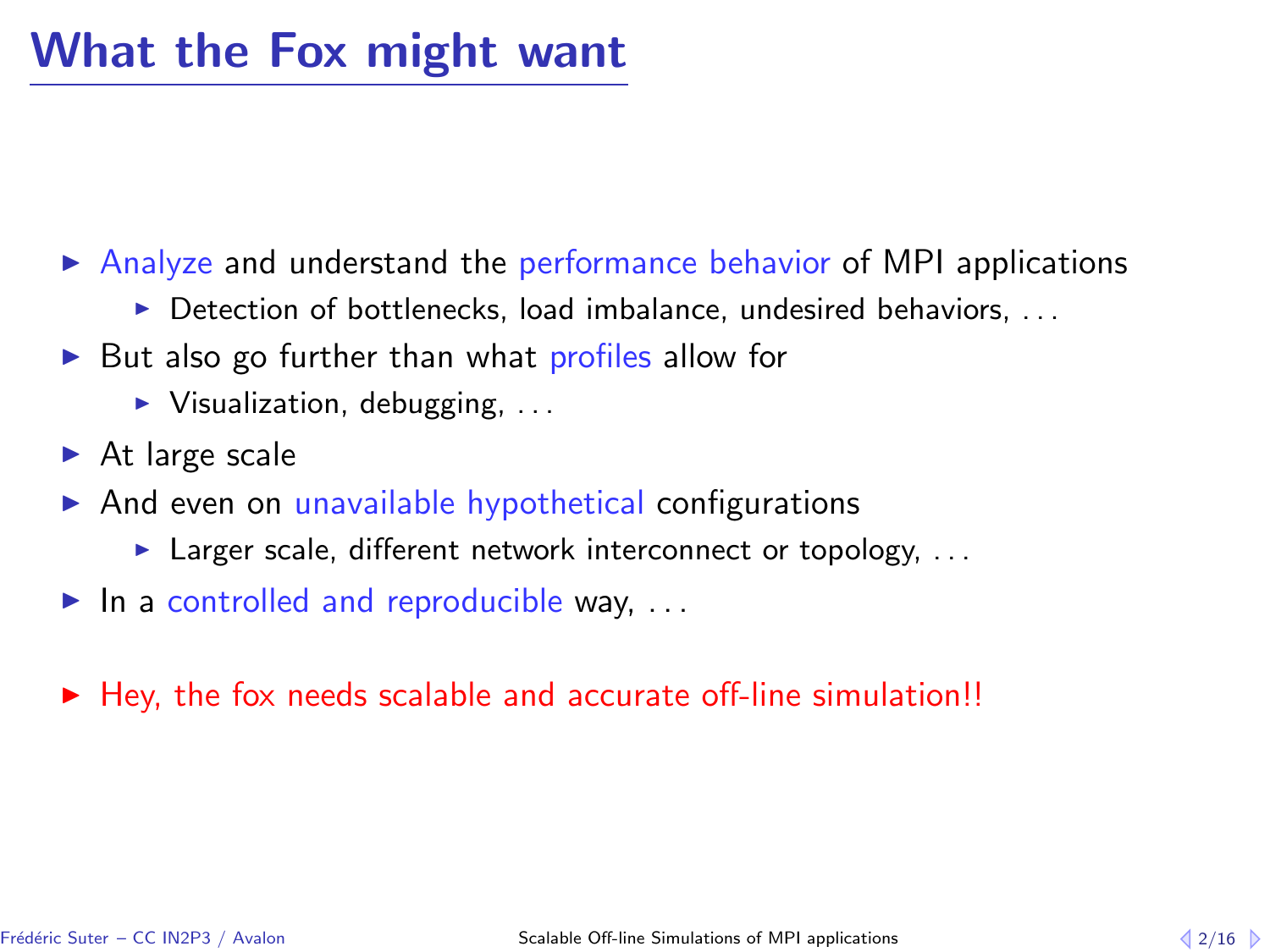- $\triangleright$  Analyze and understand the performance behavior of MPI applications
	- $\triangleright$  Detection of bottlenecks, load imbalance, undesired behaviors, ...
- $\triangleright$  But also go further than what profiles allow for
	- $\blacktriangleright$  Visualization, debugging, ...
- $\triangleright$  At large scale
- $\triangleright$  And even on unavailable hypothetical configurations
	- In Larger scale, different network interconnect or topology,  $\dots$
- $\blacktriangleright$  In a controlled and reproducible way, ...
- <span id="page-2-0"></span> $\blacktriangleright$  Hey, the fox needs scalable and accurate off-line simulation!!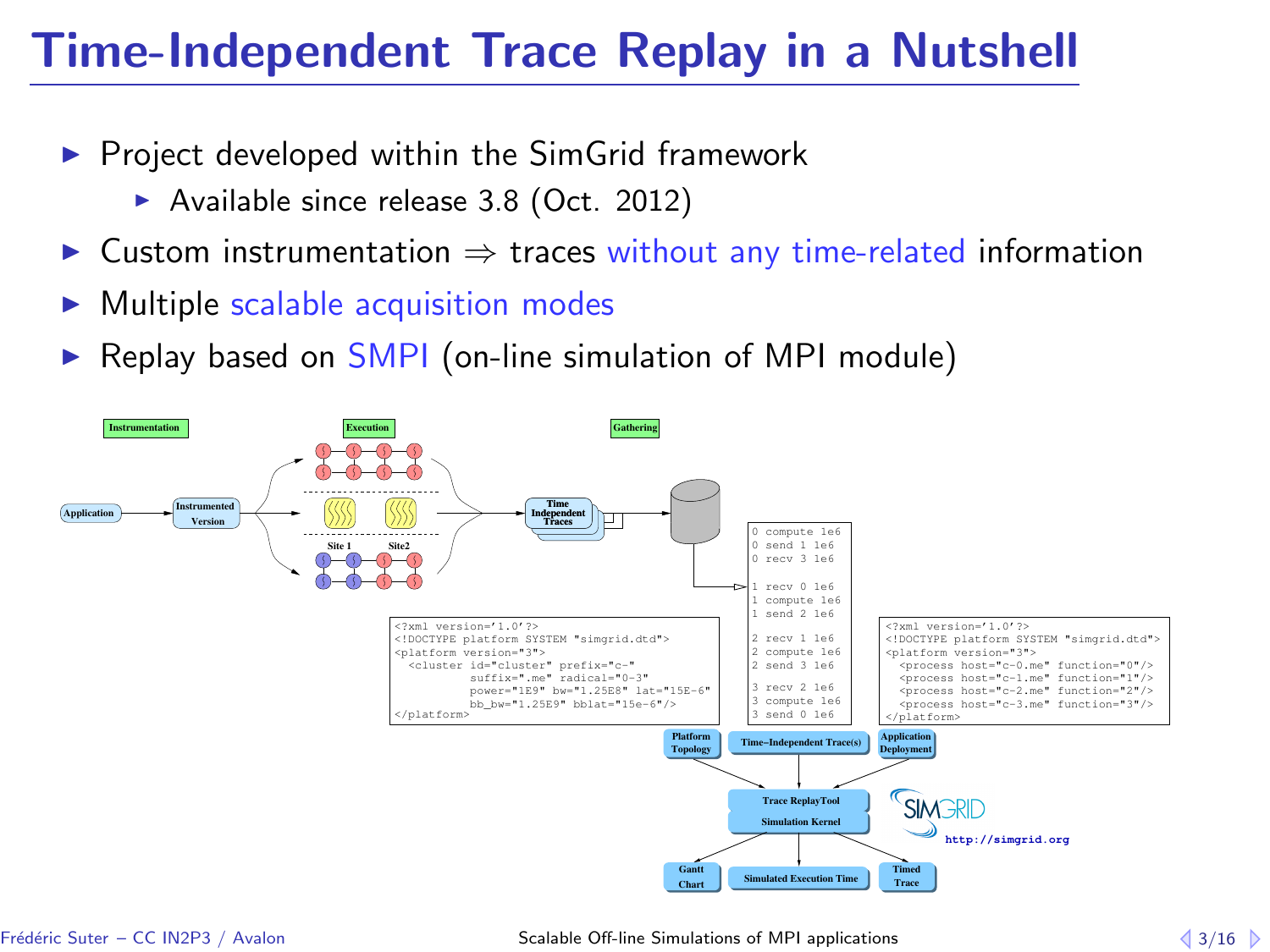# Time-Independent Trace Replay in a Nutshell

- $\blacktriangleright$  Project developed within the SimGrid framework
	- Available since release  $3.8$  (Oct. 2012)
- $\triangleright$  Custom instrumentation  $\Rightarrow$  traces without any time-related information
- $\triangleright$  Multiple scalable acquisition modes
- <span id="page-3-0"></span> $\triangleright$  Replay based on SMPI (on-line simulation of MPI module)

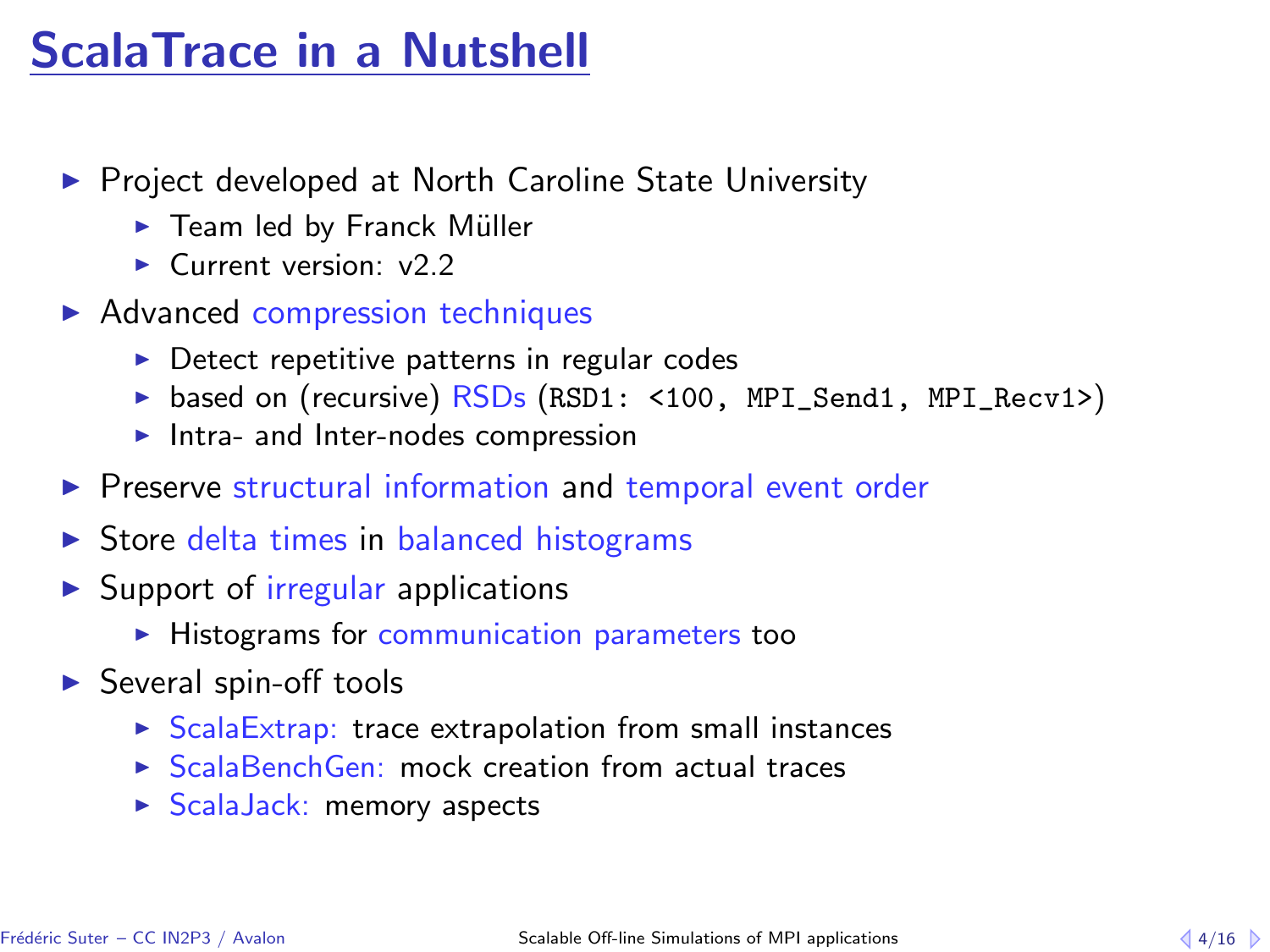# ScalaTrace in a Nutshell

- ▶ Project developed at North Caroline State University
	- $\blacktriangleright$  Team led by Franck Müller
	- $\triangleright$  Current version: v2.2
- $\blacktriangleright$  Advanced compression techniques
	- $\triangleright$  Detect repetitive patterns in regular codes
	- $\triangleright$  based on (recursive) RSDs (RSD1: <100, MPI\_Send1, MPI\_Recv1>)
	- $\blacktriangleright$  Intra- and Inter-nodes compression
- $\triangleright$  Preserve structural information and temporal event order
- $\triangleright$  Store delta times in balanced histograms
- $\triangleright$  Support of irregular applications
	- $\blacktriangleright$  Histograms for communication parameters too
- <span id="page-4-0"></span> $\blacktriangleright$  Several spin-off tools
	- $\triangleright$  ScalaExtrap: trace extrapolation from small instances
	- $\triangleright$  ScalaBenchGen: mock creation from actual traces
	- $\triangleright$  ScalaJack: memory aspects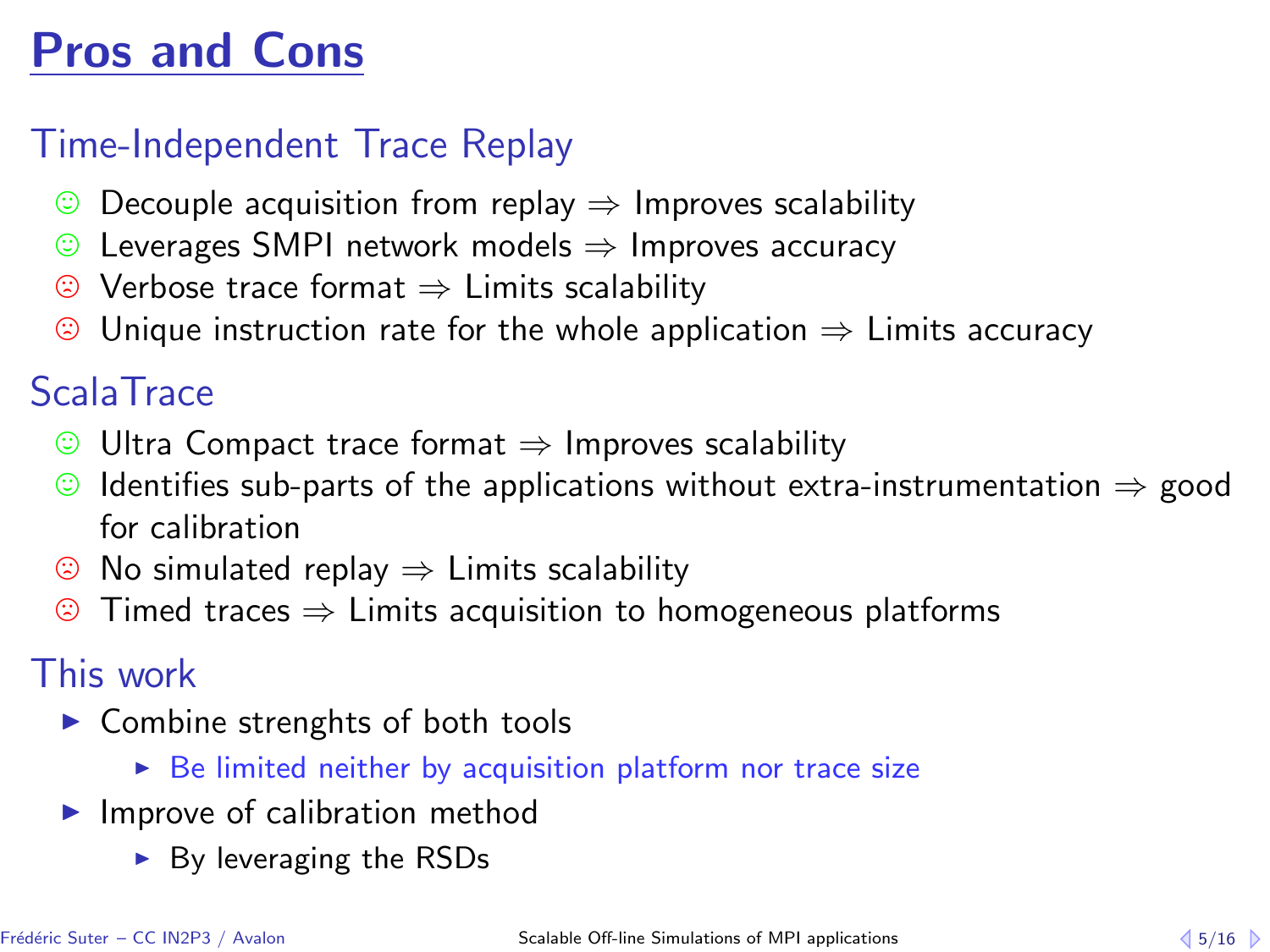# Pros and Cons

## Time-Independent Trace Replay

- © Decouple acquisition from replay ⇒ Improves scalability<br>© Leverages SMPI network models ⇒ Improves accuracv
- Leverages SMPI network models  $\Rightarrow$  Improves accuracy
- $\odot$  Verbose trace format  $\Rightarrow$  Limits scalability
- $\odot$  Unique instruction rate for the whole application  $\Rightarrow$  Limits accuracy

## ScalaTrace

- $\odot$  Ultra Compact trace format  $\Rightarrow$  Improves scalability
- $\odot$  Identifies sub-parts of the applications without extra-instrumentation  $\Rightarrow$  good for calibration
- $\circledcirc$  No simulated replay  $\Rightarrow$  Limits scalability
- $\circledcirc$  Timed traces  $\Rightarrow$  Limits acquisition to homogeneous platforms

## This work

- $\blacktriangleright$  Combine strenghts of both tools
	- $\triangleright$  Be limited neither by acquisition platform nor trace size
- <span id="page-5-0"></span> $\blacktriangleright$  Improve of calibration method
	- $\triangleright$  By leveraging the RSDs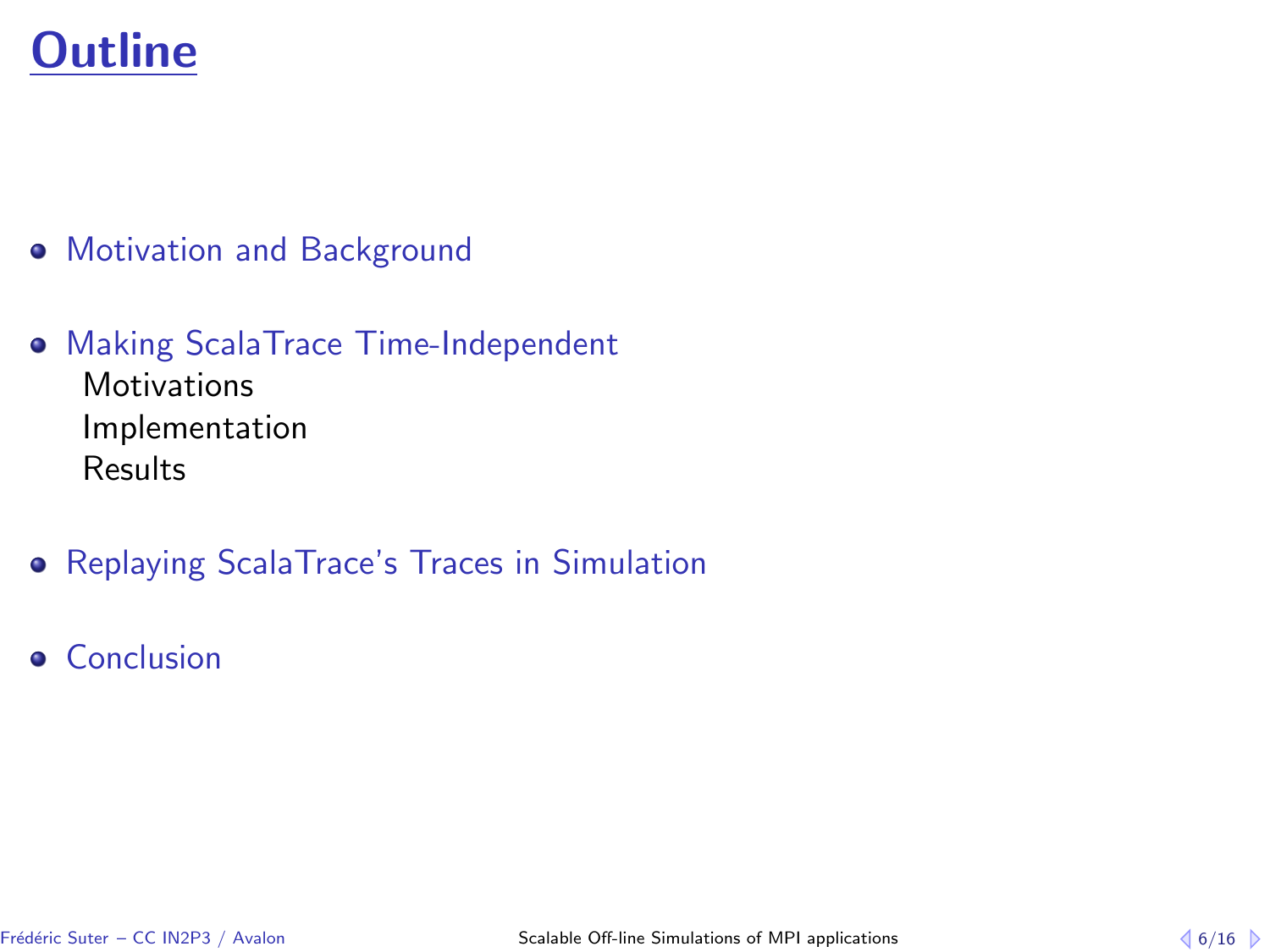# **Outline**

- **[Motivation and Background](#page-1-0)**
- [Making ScalaTrace Time-Independent](#page-6-0) **[Motivations](#page-7-0)** [Implementation](#page-9-0) [Results](#page-10-0)
- [Replaying ScalaTrace's Traces in Simulation](#page-15-0)
- <span id="page-6-0"></span>**•** [Conclusion](#page-20-0)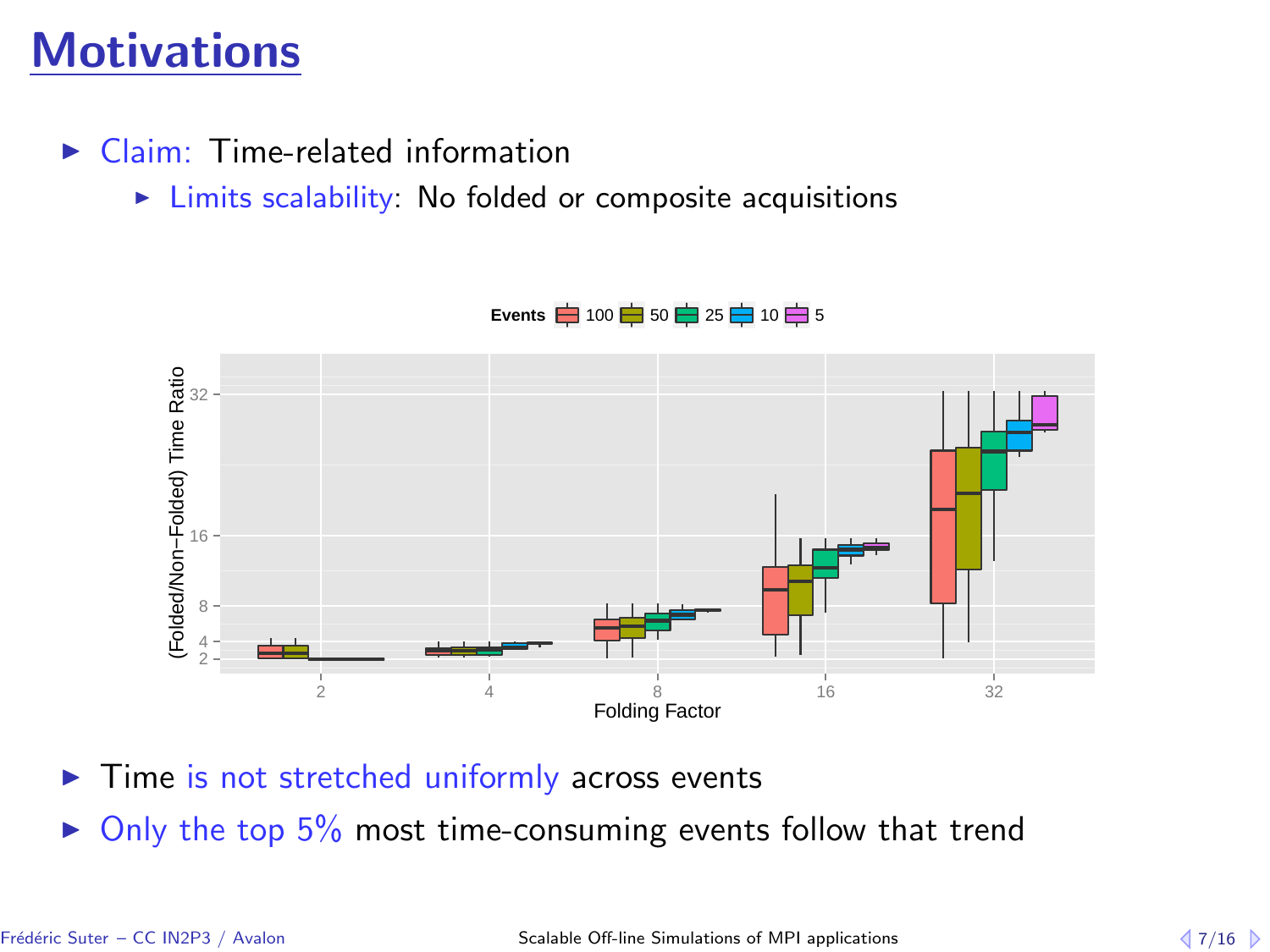# **Motivations**

- $\triangleright$  Claim: Time-related information
	- $\triangleright$  Limits scalability: No folded or composite acquisitions



<span id="page-7-0"></span>**Events**  $\begin{array}{r} 100 \end{array}$  50  $\begin{array}{r} 50 \end{array}$  25  $\begin{array}{r} 25 \end{array}$  10  $\begin{array}{r} 50 \end{array}$ 

- $\blacktriangleright$  Time is not stretched uniformly across events
- $\triangleright$  Only the top 5% most time-consuming events follow that trend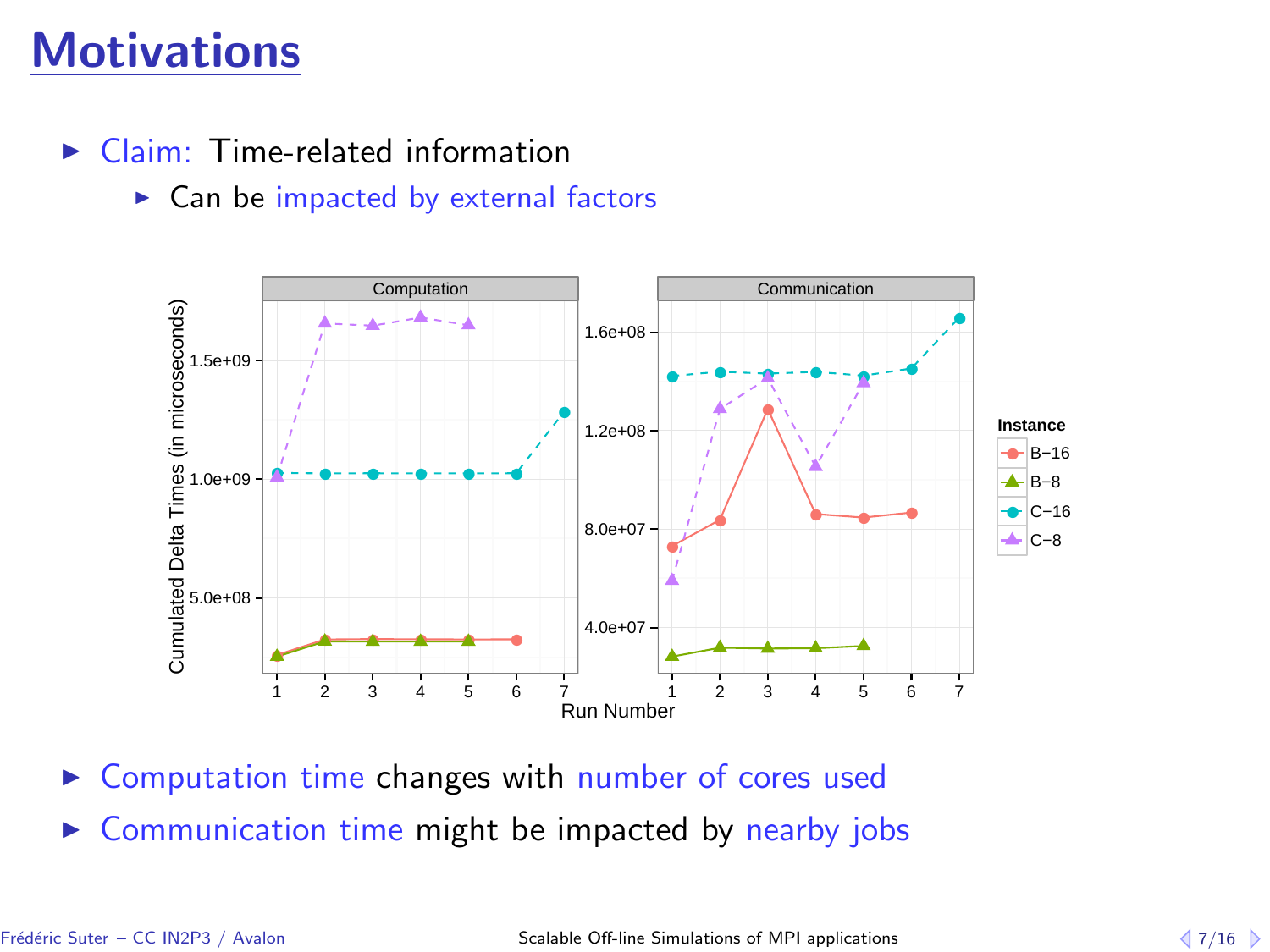# **Motivations**

- $\triangleright$  Claim: Time-related information
	- $\triangleright$  Can be impacted by external factors



- $\triangleright$  Computation time changes with number of cores used
- <span id="page-8-0"></span> $\triangleright$  Communication time might be impacted by nearby jobs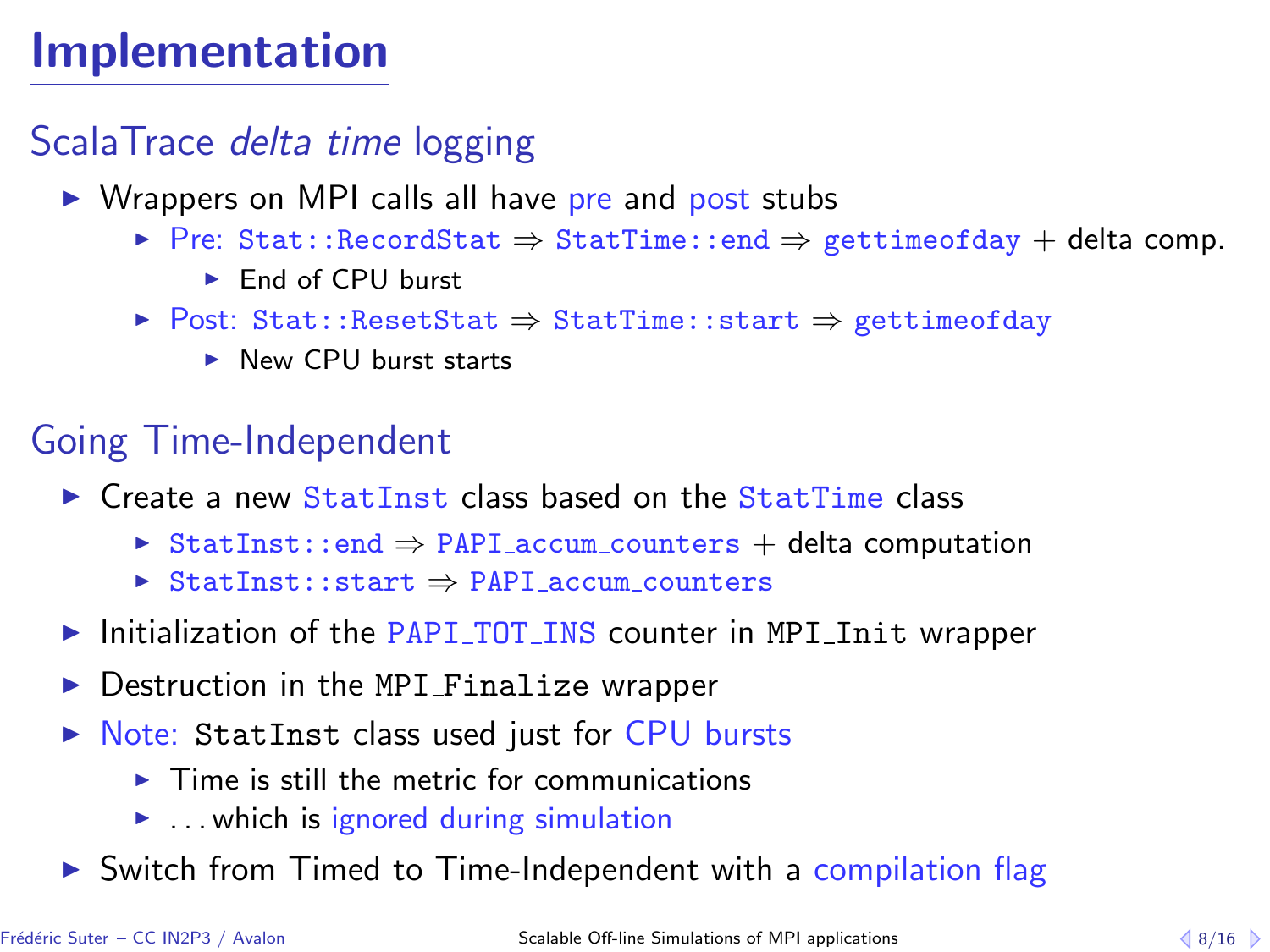# Implementation

## ScalaTrace delta time logging

- $\triangleright$  Wrappers on MPI calls all have pre and post stubs
	- <sup>I</sup> Pre: Stat::RecordStat ⇒ StatTime::end ⇒ gettimeofday + delta comp.
		- **F** End of CPU burst
	- <sup>I</sup> Post: Stat::ResetStat ⇒ StatTime::start ⇒ gettimeofday
		- $\blacktriangleright$  New CPU burst starts

## Going Time-Independent

- $\triangleright$  Create a new StatInst class based on the StatTime class
	- <sup>I</sup> StatInst::end ⇒ PAPI accum counters + delta computation
	- <sup>I</sup> StatInst::start ⇒ PAPI accum counters
- $\triangleright$  Initialization of the PAPI TOT INS counter in MPI Init wrapper
- Destruction in the MPI Finalize wrapper
- ▶ Note: StatInst class used just for CPU bursts
	- $\triangleright$  Time is still the metric for communications
	- $\blacktriangleright$  . . which is ignored during simulation
- <span id="page-9-0"></span> $\triangleright$  Switch from Timed to Time-Independent with a compilation flag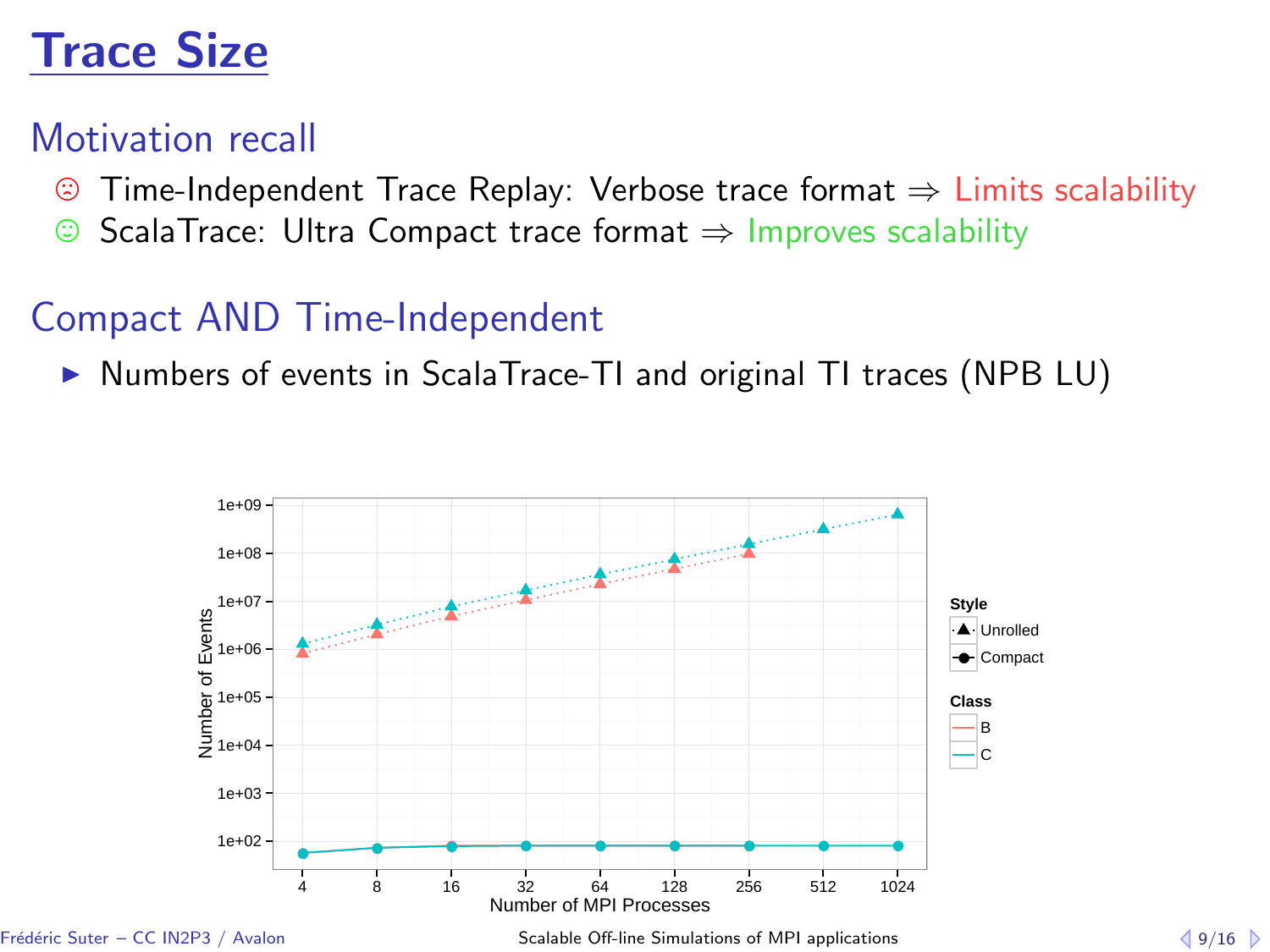# Trace Size

### Motivation recall

- © Time-Independent Trace Replay: Verbose trace format ⇒ Limits scalability<br>© ScalaTrace: Ultra Compact trace format ⇒ Improves scalability
- ScalaTrace: Ultra Compact trace format  $\Rightarrow$  Improves scalability

## Compact AND Time-Independent

▶ Numbers of events in ScalaTrace-TI and original TI traces (NPB LU)

<span id="page-10-0"></span>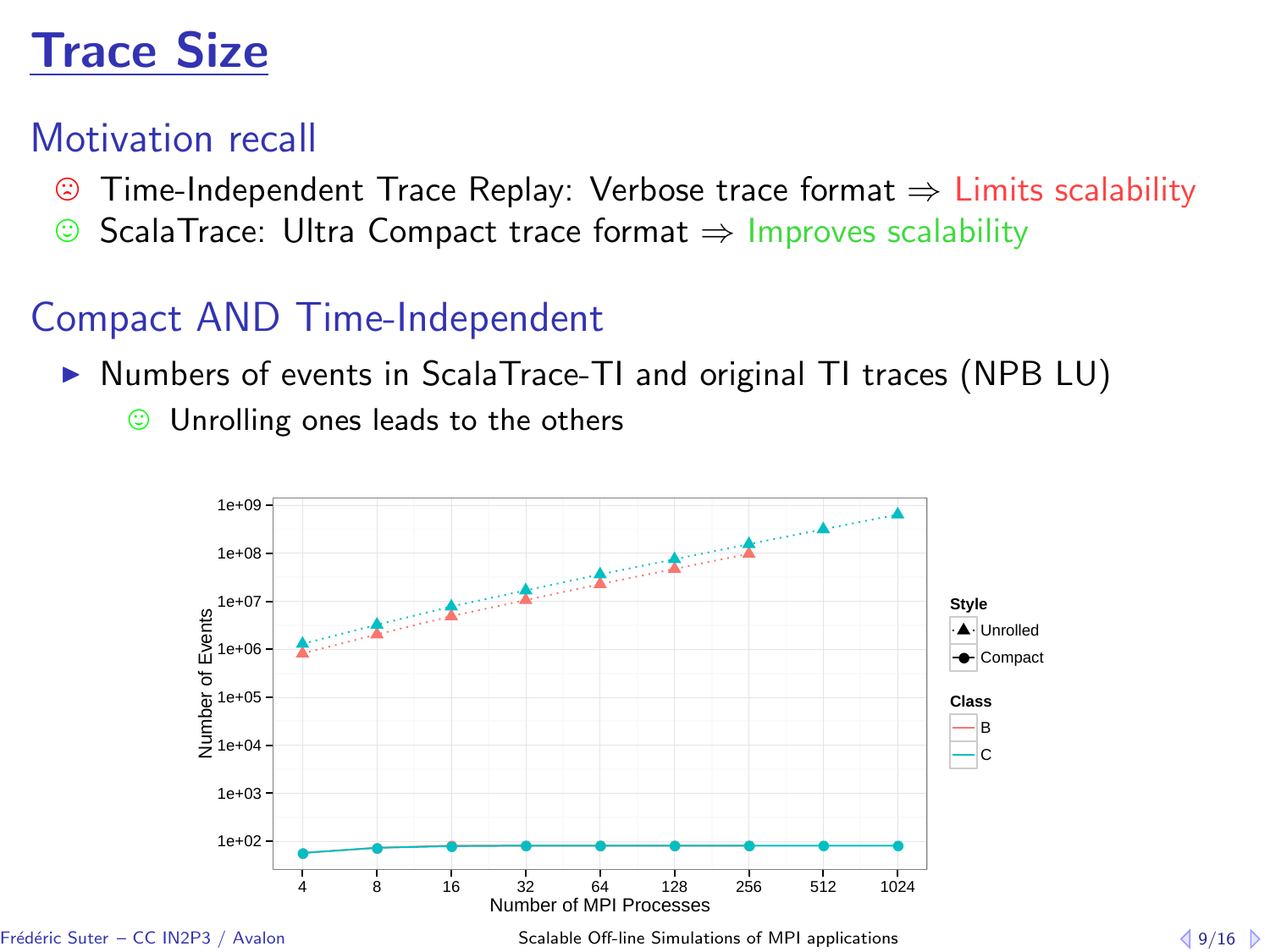# Trace Size

### Motivation recall

- © Time-Independent Trace Replay: Verbose trace format ⇒ Limits scalability<br>© ScalaTrace: Ultra Compact trace format ⇒ Improves scalability
- ScalaTrace: Ultra Compact trace format  $\Rightarrow$  Improves scalability

## Compact AND Time-Independent

- ▶ Numbers of events in ScalaTrace-TI and original TI traces (NPB LU)
	- $\odot$  Unrolling ones leads to the others

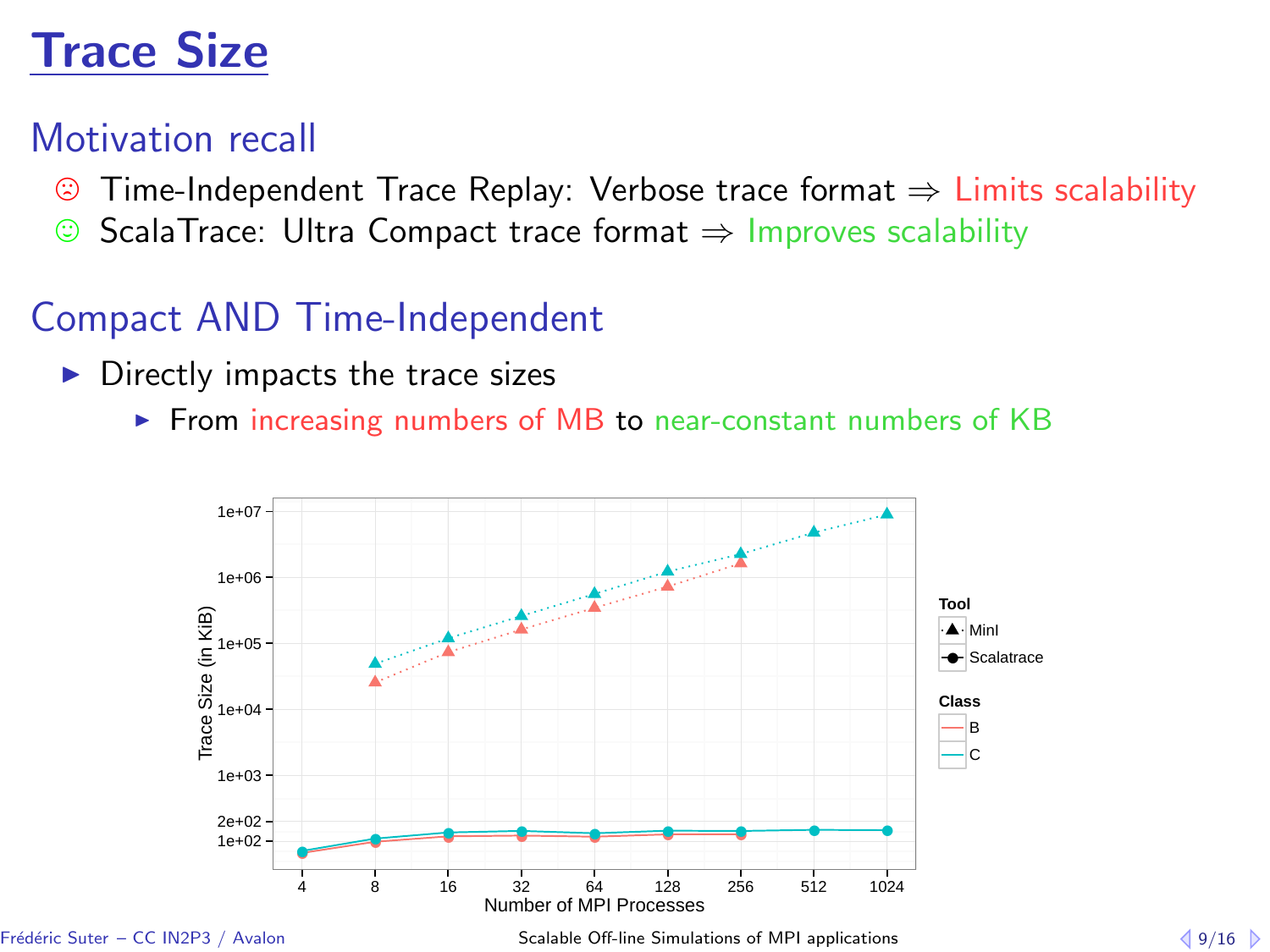# Trace Size

### Motivation recall

- © Time-Independent Trace Replay: Verbose trace format ⇒ Limits scalability<br>© ScalaTrace: Ultra Compact trace format ⇒ Improves scalability
- ScalaTrace: Ultra Compact trace format  $\Rightarrow$  Improves scalability

## Compact AND Time-Independent

- $\triangleright$  Directly impacts the trace sizes
	- $\triangleright$  From increasing numbers of MB to near-constant numbers of KB

<span id="page-12-0"></span>

Frédéric Suter – CC IN2P3 / Avalon [Scalable Off-line Simulations of MPI applications](#page-0-1)  $\langle 9/16 | \rangle$  $\langle 9/16 | \rangle$  $\langle 9/16 | \rangle$  $\langle 9/16 | \rangle$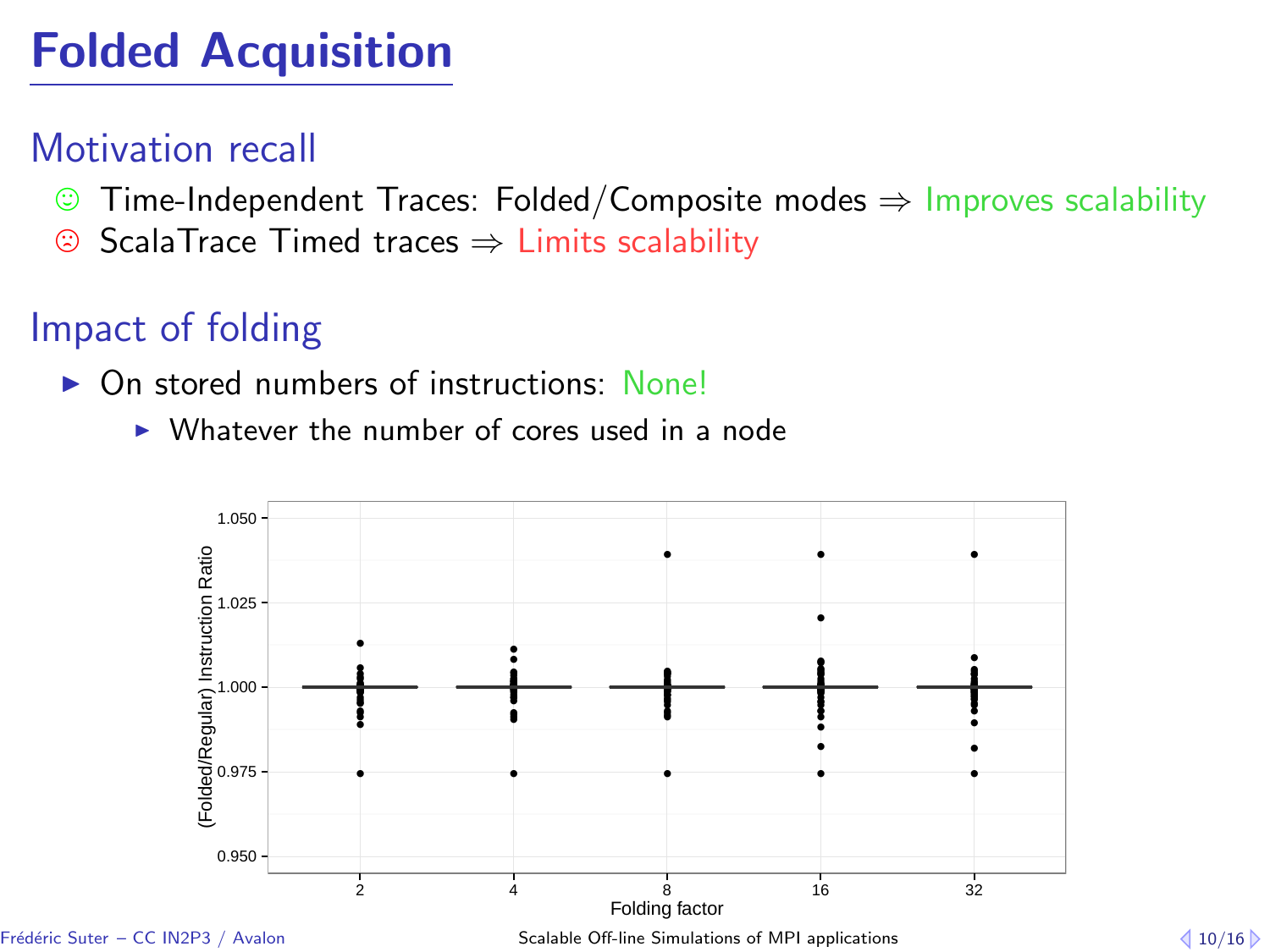# Folded Acquisition

## Motivation recall

- , Time-Independent Traces: Folded/Composite modes <sup>⇒</sup> Improves scalability
- ScalaTrace Timed traces  $\Rightarrow$  Limits scalability

## Impact of folding

- $\triangleright$  On stored numbers of instructions: None!
	- $\triangleright$  Whatever the number of cores used in a node

<span id="page-13-0"></span>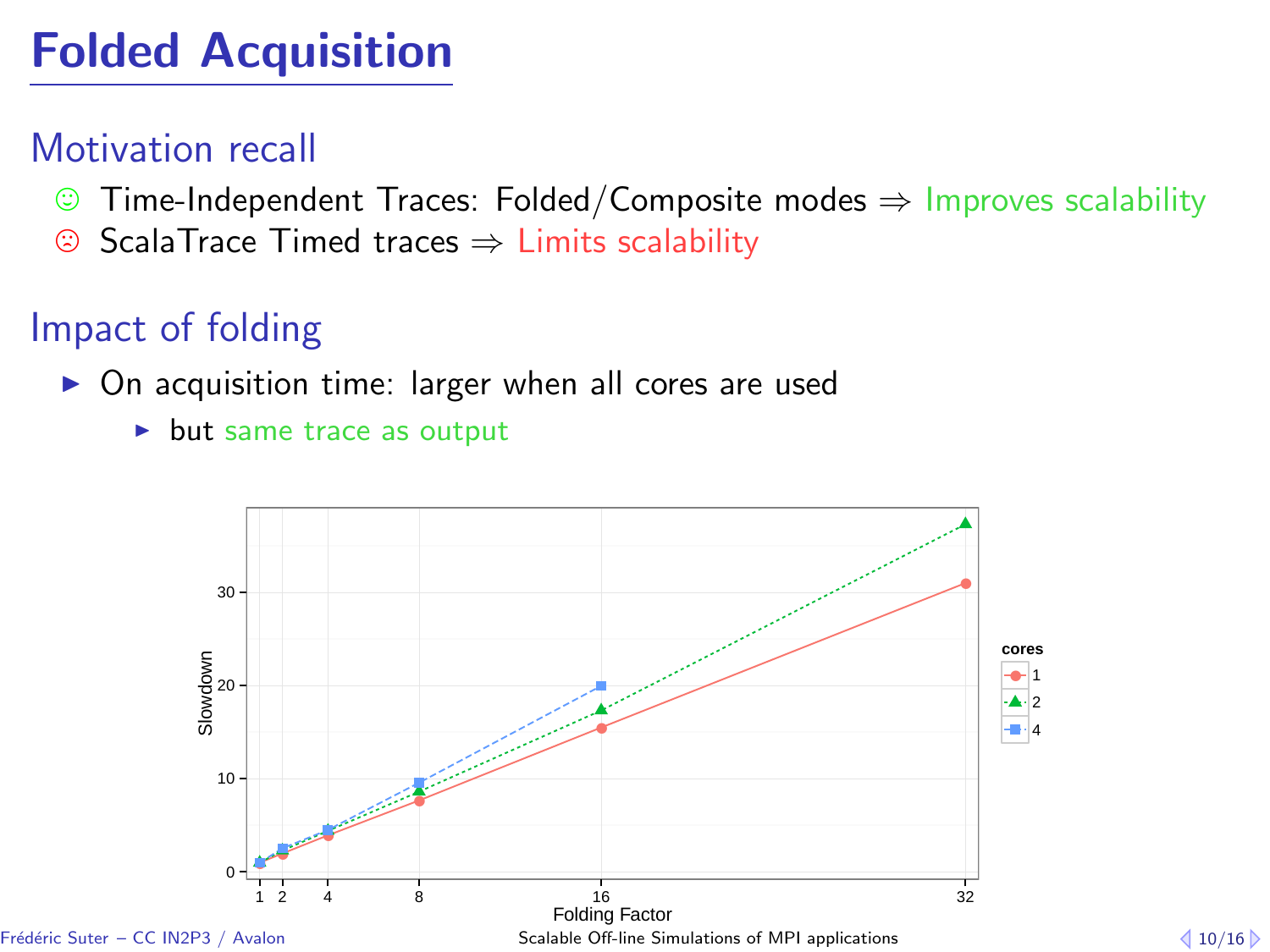# Folded Acquisition

## Motivation recall

- , Time-Independent Traces: Folded/Composite modes <sup>⇒</sup> Improves scalability
- ScalaTrace Timed traces  $\Rightarrow$  Limits scalability

## Impact of folding

- <span id="page-14-0"></span> $\triangleright$  On acquisition time: larger when all cores are used
	- $\blacktriangleright$  but same trace as output

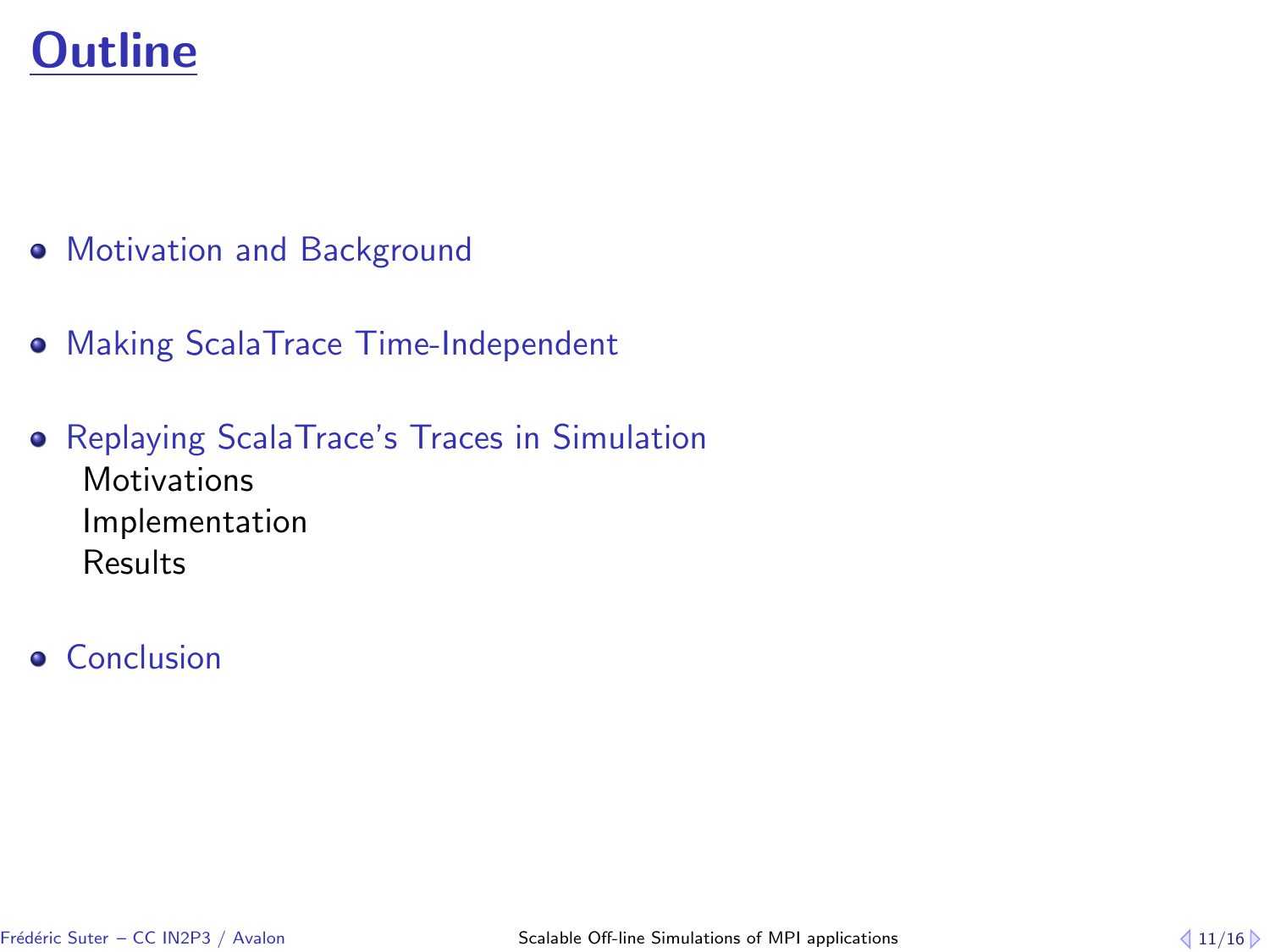# **Outline**

- **[Motivation and Background](#page-1-0)**
- [Making ScalaTrace Time-Independent](#page-6-0)
- [Replaying ScalaTrace's Traces in Simulation](#page-15-0) **[Motivations](#page-16-0)** [Implementation](#page-17-0) [Results](#page-18-0)
- <span id="page-15-0"></span>**•** [Conclusion](#page-20-0)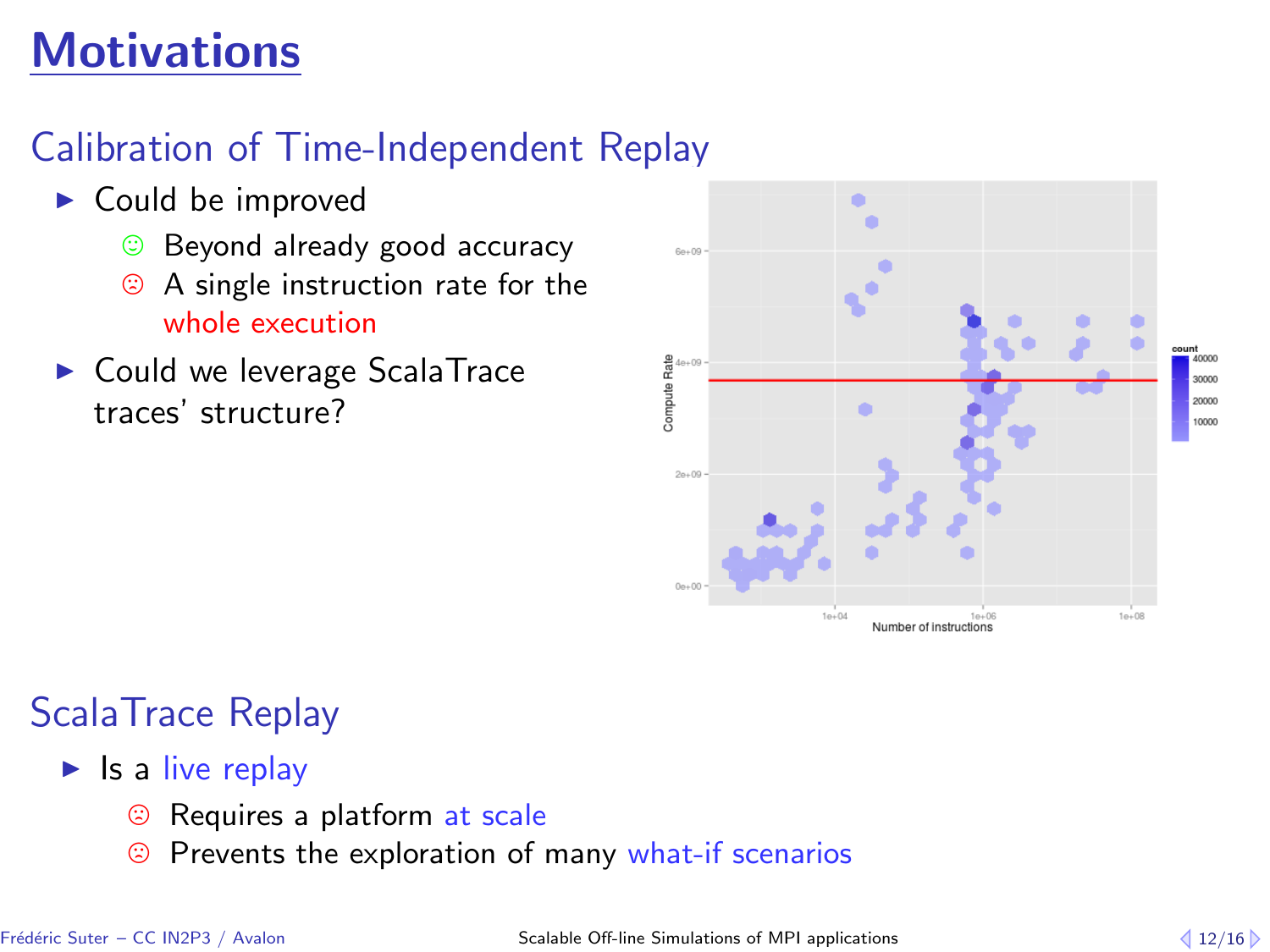# **Motivations**

## Calibration of Time-Independent Replay

- $\triangleright$  Could be improved
	- <sup>©</sup> Beyond already good accuracy
	- $\odot$  A single instruction rate for the whole execution
- $\blacktriangleright$  Could we leverage ScalaTrace traces' structure?

<span id="page-16-0"></span>

## ScalaTrace Replay

- $\blacktriangleright$  Is a live replay
	- $\circledcirc$  Requires a platform at scale<br> $\circledcirc$  Prevents the exploration of i
	- Prevents the exploration of many what-if scenarios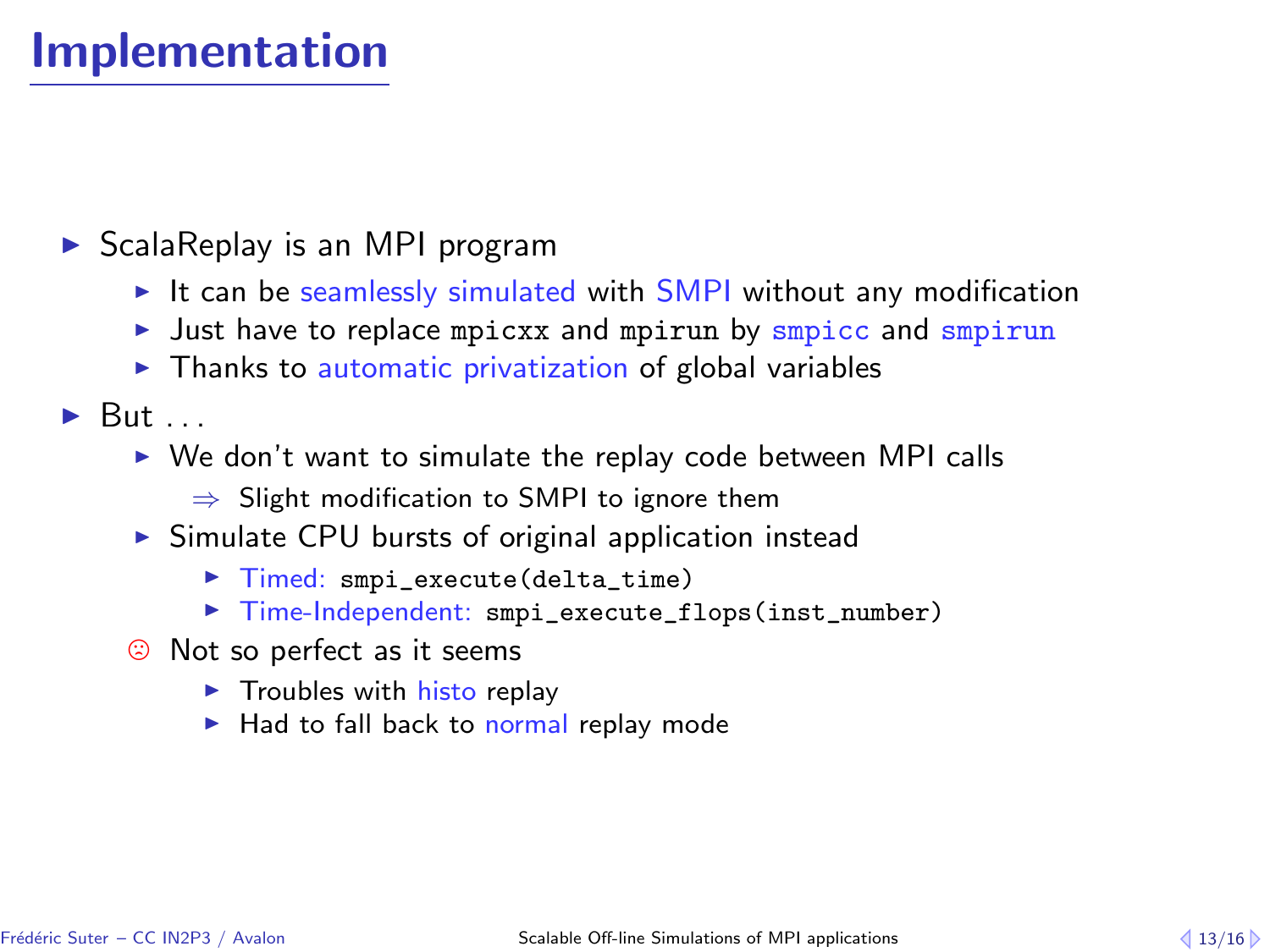# Implementation

#### $\triangleright$  ScalaReplay is an MPI program

- It can be seamlessly simulated with SMPI without any modification
- In Just have to replace mpicxx and mpirun by smpicc and smpirun
- $\blacktriangleright$  Thanks to automatic privatization of global variables

#### $\triangleright$  But ...

- $\triangleright$  We don't want to simulate the replay code between MPI calls
	- $\Rightarrow$  Slight modification to SMPI to ignore them
- $\triangleright$  Simulate CPU bursts of original application instead
	- ▶ Timed: smpi\_execute(delta\_time)
	- ▶ Time-Independent: smpi\_execute\_flops(inst\_number)
- <span id="page-17-0"></span> $\odot$  Not so perfect as it seems
	- $\blacktriangleright$  Troubles with histo replay
	- $\blacktriangleright$  Had to fall back to normal replay mode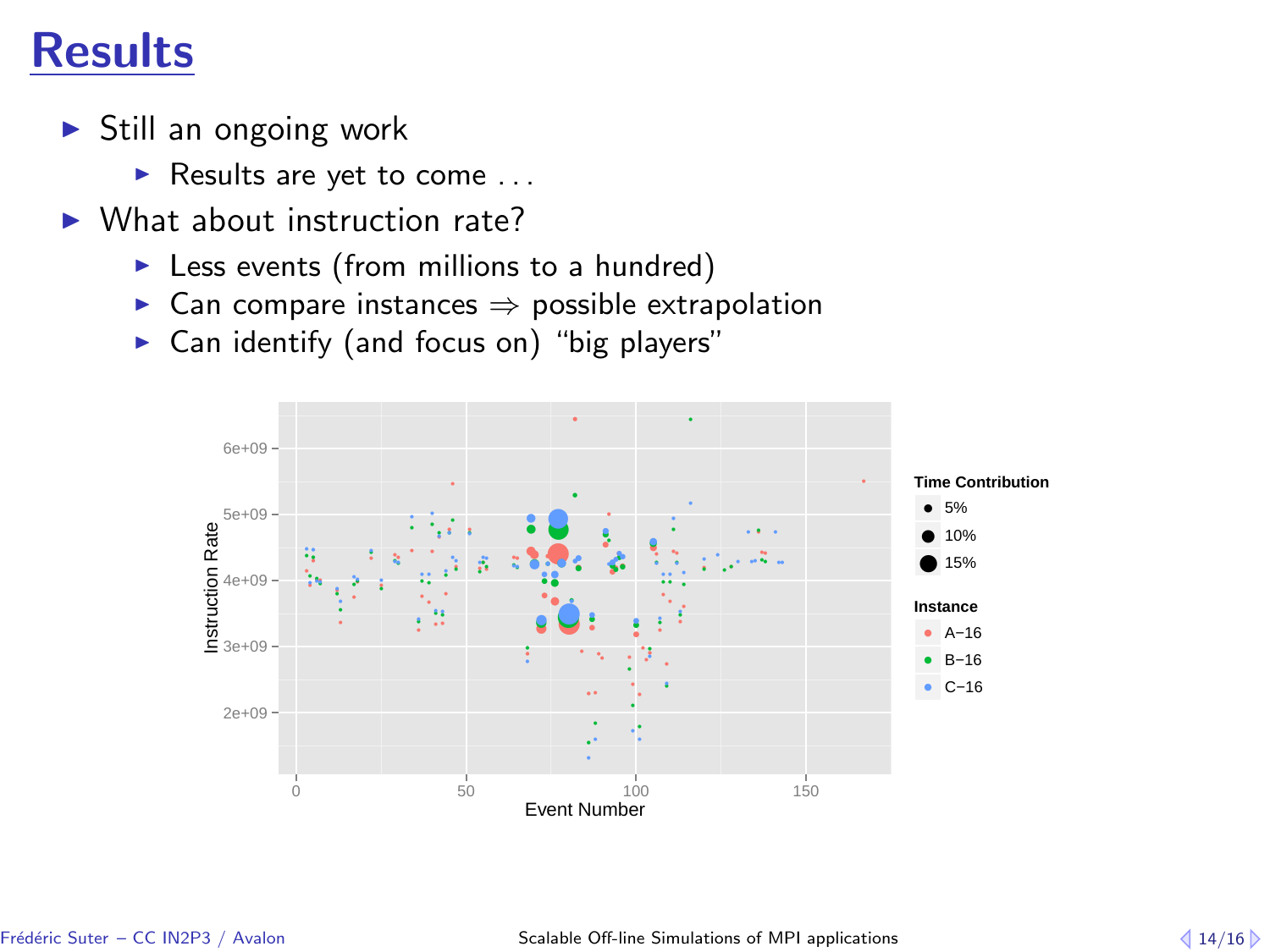# **Results**

- $\triangleright$  Still an ongoing work
	- Results are yet to come  $\dots$
- $\triangleright$  What about instruction rate?
	- $\triangleright$  Less events (from millions to a hundred)
	- $\triangleright$  Can compare instances  $\Rightarrow$  possible extrapolation
	- $\triangleright$  Can identify (and focus on) "big players"

<span id="page-18-0"></span>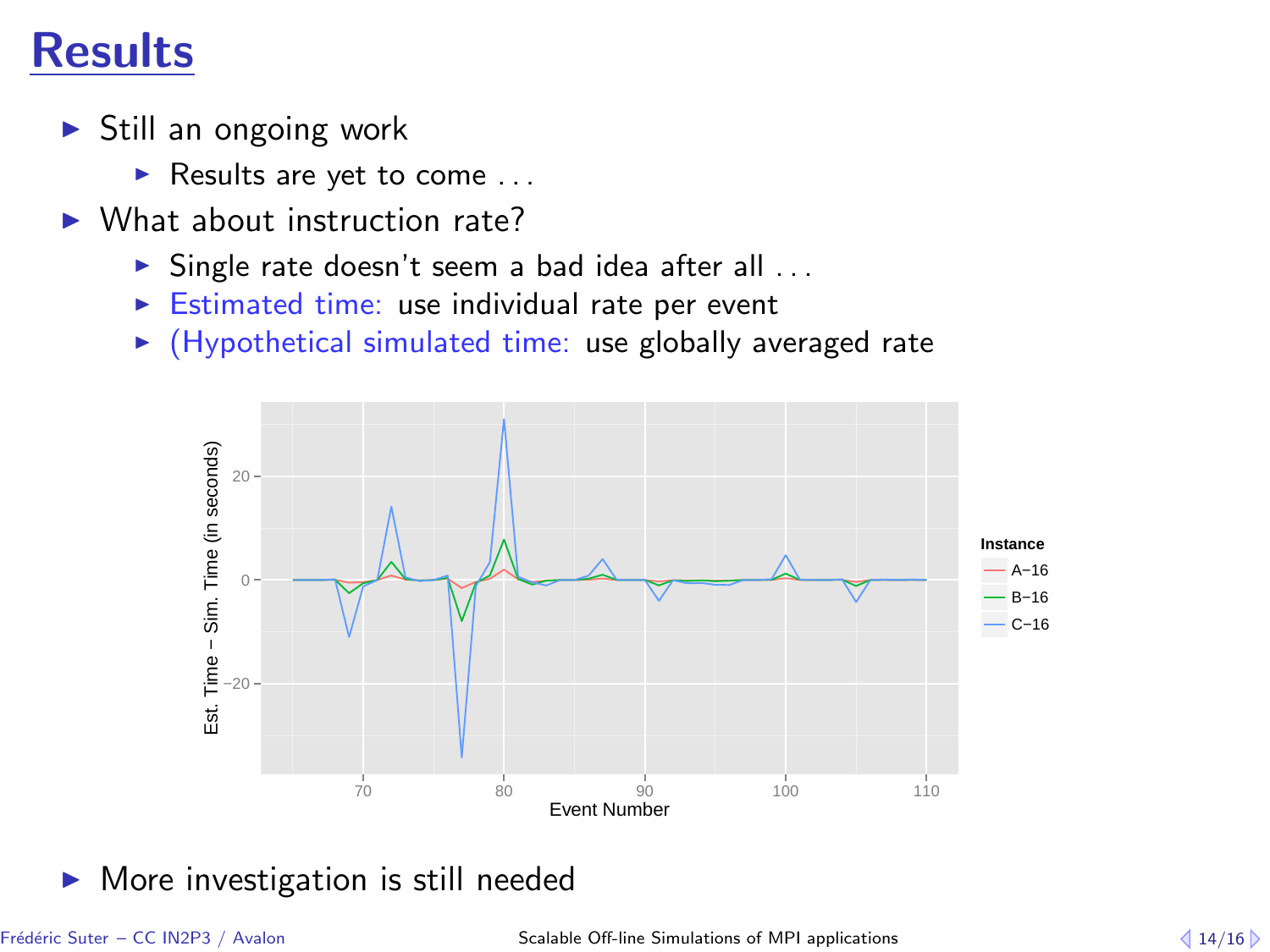## **Results**

- $\triangleright$  Still an ongoing work
	- Results are yet to come  $\dots$
- $\triangleright$  What about instruction rate?
	- $\triangleright$  Single rate doesn't seem a bad idea after all ...
	- $\triangleright$  Estimated time: use individual rate per event
	- $\blacktriangleright$  (Hypothetical simulated time: use globally averaged rate



<span id="page-19-0"></span> $\blacktriangleright$  More investigation is still needed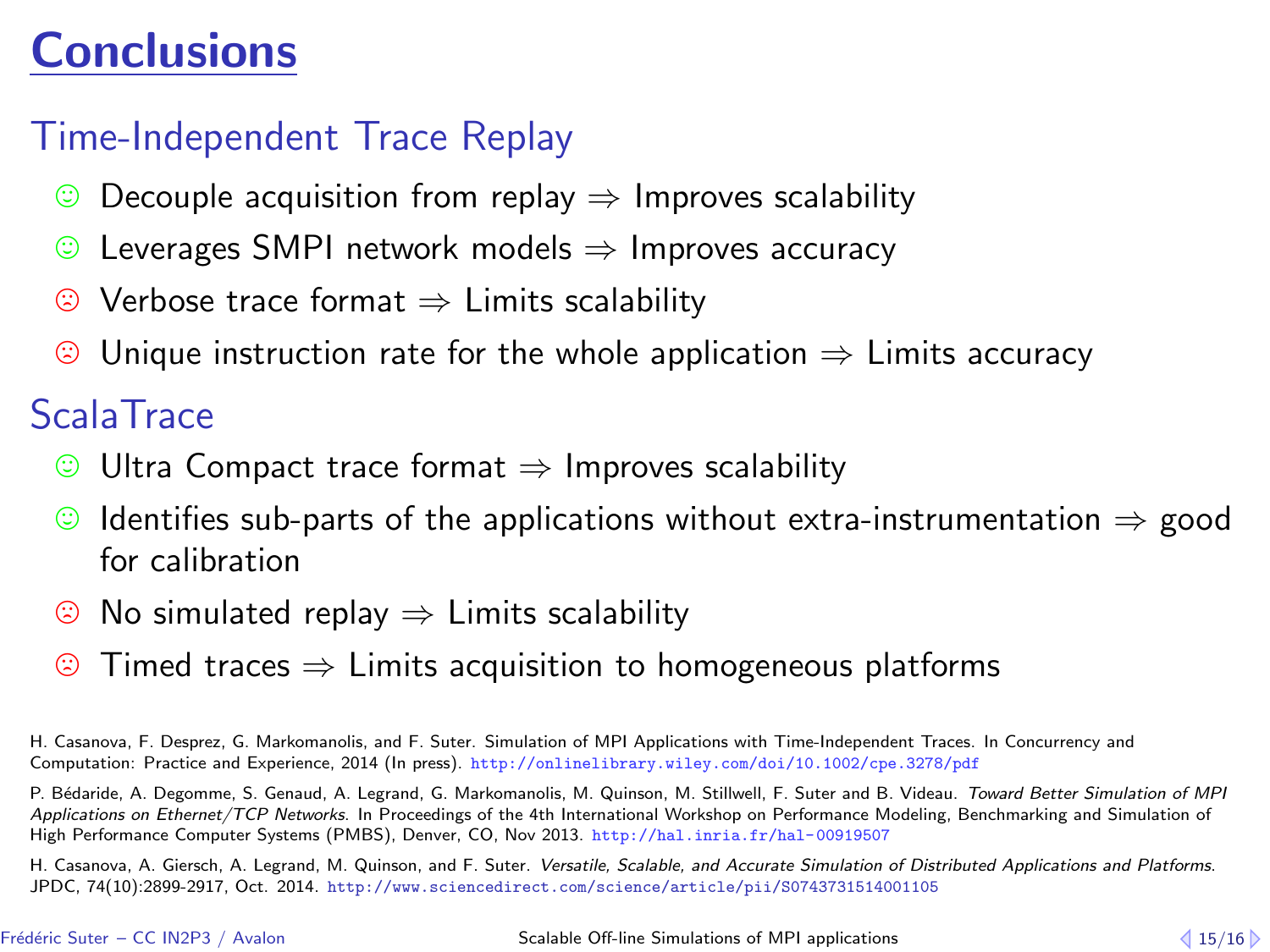# **Conclusions**

## Time-Independent Trace Replay

- $\odot$  Decouple acquisition from replay  $\Rightarrow$  Improves scalability
- $\odot$  Leverages SMPI network models  $\Rightarrow$  Improves accuracy
- $\odot$  Verbose trace format  $\Rightarrow$  Limits scalability
- Unique instruction rate for the whole application  $\Rightarrow$  Limits accuracy

## **ScalaTrace**

- $\odot$  Ultra Compact trace format  $\Rightarrow$  Improves scalability
- $\odot$  Identifies sub-parts of the applications without extra-instrumentation  $\Rightarrow$  good for calibration
- $\circledcirc$  No simulated replay  $\Rightarrow$  Limits scalability
- $\circledcirc$  Timed traces  $\Rightarrow$  Limits acquisition to homogeneous platforms

H. Casanova, F. Desprez, G. Markomanolis, and F. Suter. Simulation of MPI Applications with Time-Independent Traces. In Concurrency and Computation: Practice and Experience, 2014 (In press). <http://onlinelibrary.wiley.com/doi/10.1002/cpe.3278/pdf>

P. Bédaride, A. Degomme, S. Genaud, A. Legrand, G. Markomanolis, M. Quinson, M. Stillwell, F. Suter and B. Videau. Toward Better Simulation of MPI Applications on Ethernet/TCP Networks. In Proceedings of the 4th International Workshop on Performance Modeling, Benchmarking and Simulation of High Performance Computer Systems (PMBS), Denver, CO, Nov 2013. <http://hal.inria.fr/hal-00919507>

<span id="page-20-0"></span>H. Casanova, A. Giersch, A. Legrand, M. Quinson, and F. Suter. Versatile, Scalable, and Accurate Simulation of Distributed Applications and Platforms. JPDC, 74(10):2899-2917, Oct. 2014. <http://www.sciencedirect.com/science/article/pii/S0743731514001105>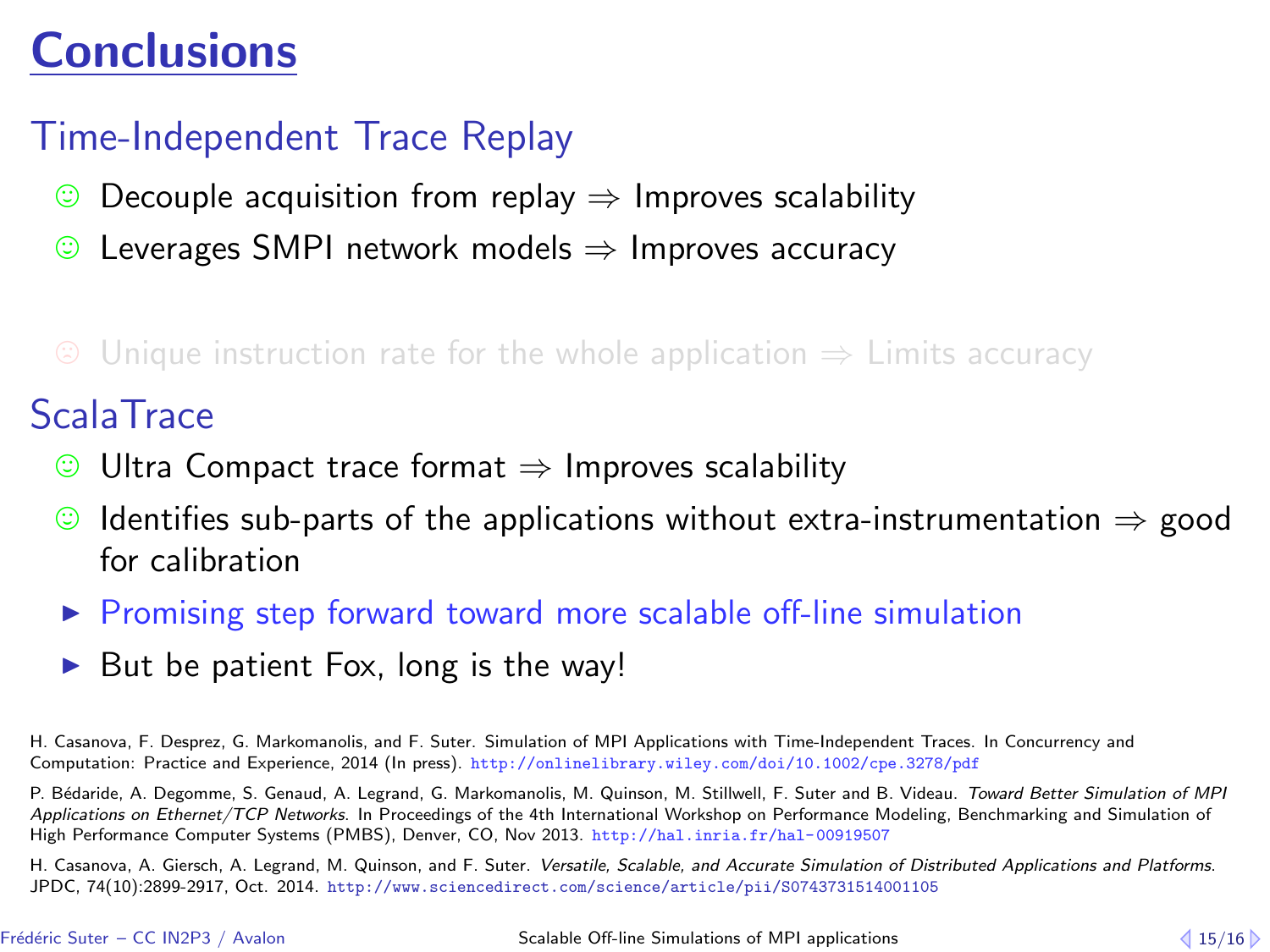# **Conclusions**

## Time-Independent Trace Replay

- $\odot$  Decouple acquisition from replay  $\Rightarrow$  Improves scalability
- $\odot$  Leverages SMPI network models  $\Rightarrow$  Improves accuracy

 $\circledcirc$  Unique instruction rate for the whole application  $\Rightarrow$  Limits accuracy

## **ScalaTrace**

- $\odot$  Ultra Compact trace format  $\Rightarrow$  Improves scalability
- $\odot$  Identifies sub-parts of the applications without extra-instrumentation  $\Rightarrow$  good for calibration
- $\triangleright$  Promising step forward toward more scalable off-line simulation
- $\triangleright$  But be patient Fox, long is the way!

H. Casanova, F. Desprez, G. Markomanolis, and F. Suter. Simulation of MPI Applications with Time-Independent Traces. In Concurrency and Computation: Practice and Experience, 2014 (In press). <http://onlinelibrary.wiley.com/doi/10.1002/cpe.3278/pdf>

P. Bédaride, A. Degomme, S. Genaud, A. Legrand, G. Markomanolis, M. Quinson, M. Stillwell, F. Suter and B. Videau. Toward Better Simulation of MPI Applications on Ethernet/TCP Networks. In Proceedings of the 4th International Workshop on Performance Modeling, Benchmarking and Simulation of High Performance Computer Systems (PMBS), Denver, CO, Nov 2013. <http://hal.inria.fr/hal-00919507>

<span id="page-21-0"></span>H. Casanova, A. Giersch, A. Legrand, M. Quinson, and F. Suter. Versatile, Scalable, and Accurate Simulation of Distributed Applications and Platforms. JPDC, 74(10):2899-2917, Oct. 2014. <http://www.sciencedirect.com/science/article/pii/S0743731514001105>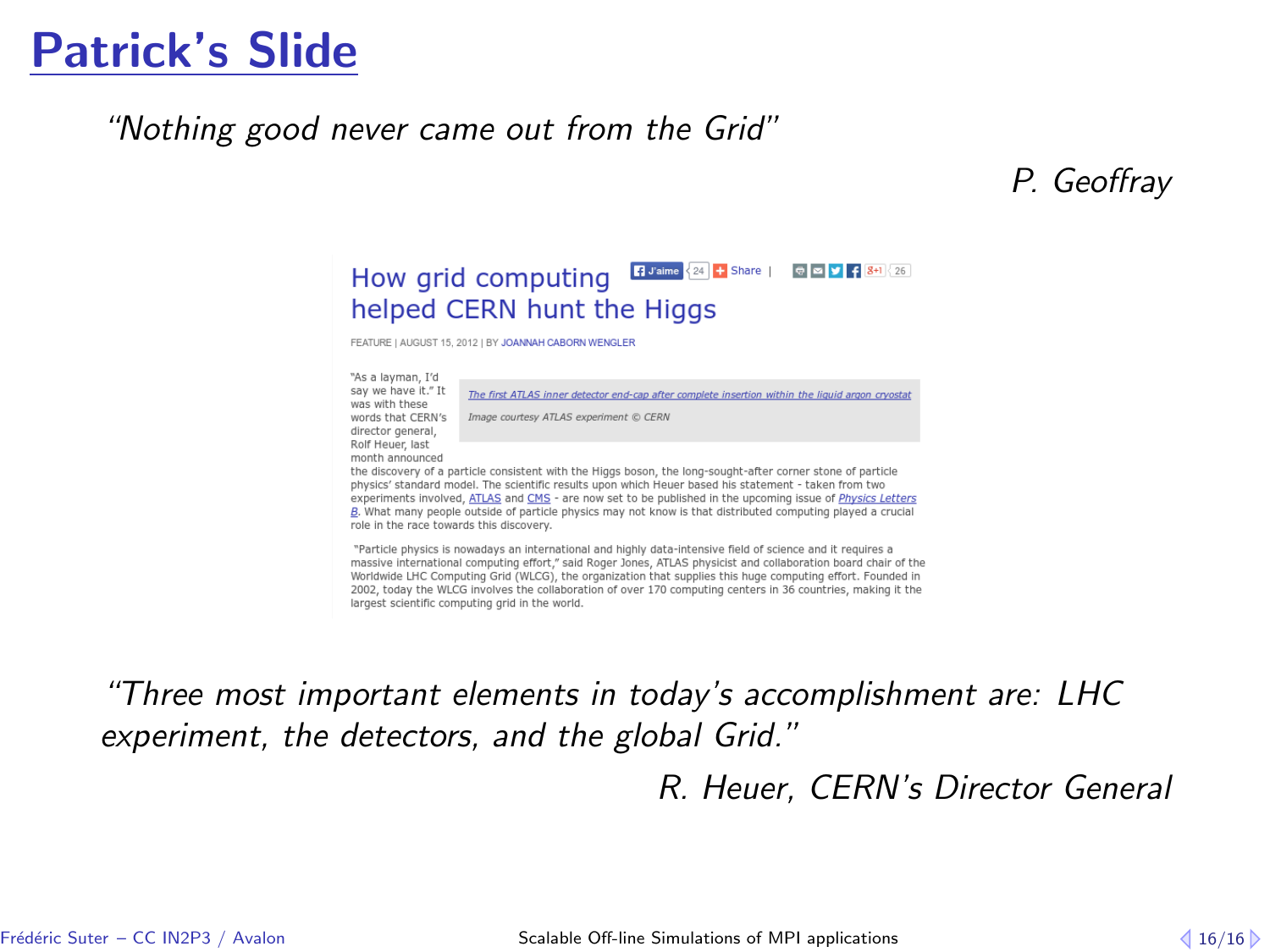# Patrick's Slide

#### "Nothing good never came out from the Grid"

P. Geoffray

#### $\left| \frac{1}{2} \right|$  J'aime  $\left| \frac{1}{24} \right|$  Share | ◎ □ <mark>2 子 34</mark> 26 How grid computing helped CERN hunt the Higgs

FEATURE I AUGUST 15, 2012 I BY JOANNAH CABORN WENGLER



Worldwide LHC Computing Grid (WLCG), the organization that supplies this huge computing effort. Founded in 2002, today the WLCG involves the collaboration of over 170 computing centers in 36 countries, making it the largest scientific computing grid in the world.

"Three most important elements in today's accomplishment are: LHC experiment, the detectors, and the global Grid."

<span id="page-22-0"></span>R. Heuer, CERN's Director General